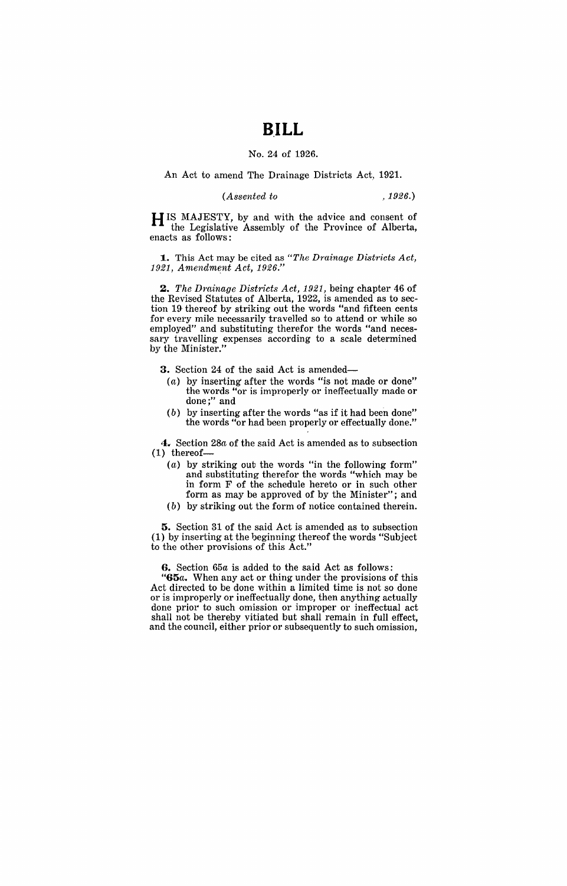# **B.ILL**

#### No. 24 of 1926.

### An Act to amend The Drainage Districts Act, 1921.

### *(Assented to* , 1926.)

H IS MAJESTY, by and with the advice and consent of the Legislative Assembly of the Province of Alberta, enacts as follows:

**1.** This Act may be cited as *"The Drainage Districts Act,*  1921, Amendment Act, 1926.'

*2. The Dminage Districts Act,* 1921, being chapter 46 of the Revised Statutes of Alberta, 1922, is amended as to section 19 thereof by striking out the words "and fifteen cents for every mile necessarily travelled so to attend or while so employed" and substituting therefor the words "and necessary travelling expenses according to a scale determined by the Minister."

**3.** Section 24 of the said Act is amended—

- $(a)$  by inserting after the words "is not made or done" the words "or is improperly or ineffectually made or done;" and
- (b) by inserting after the words "as if it had been done" the words "or had been properly or effectually done."

**4.** Section *28a* of the said Act is amended as to subsection (1) thereof-

- (a) by striking out the words "in the following form" and substituting therefor the words "which may be in form F of the schedule hereto or in such other form as may be approved of by the Minister"; and
- (b) by striking out the form of notice contained therein.

**5.** Section 31 of the said Act is amended as to subsection (1) by inserting at the beginning thereof the words "Subject to the other provisions of this Act."

**G.** Section *65a* is added to the said Act as follows:

"G5a. When any act or thing under the provisions of this Act directed to be done within a limited time is not so done or is improperly or ineffectually done, then anything actually done prior to such omission or improper or ineffectual act shall not be thereby vitiated but shall remain in full effect, and the council, either prior or subsequently to such omission,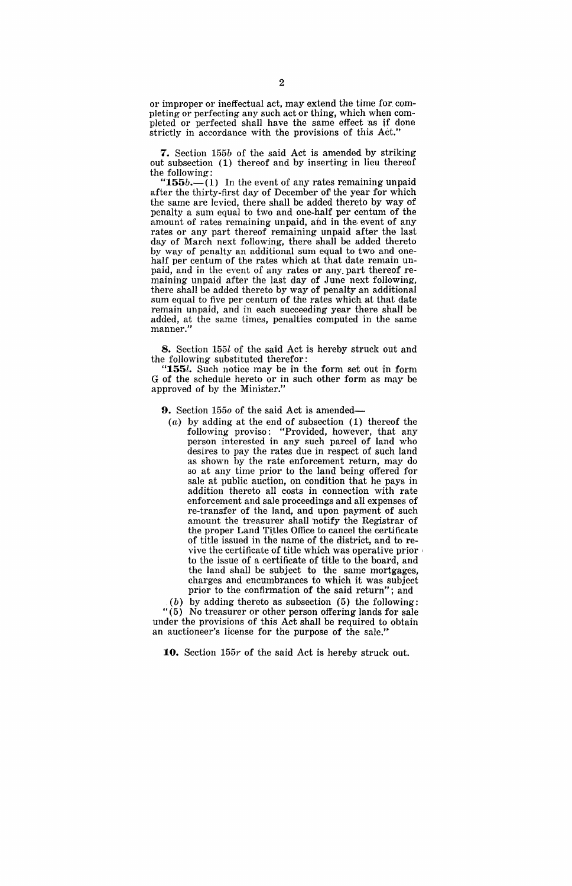or improper or ineffectual act, may extend the time for completing or perfecting any such act or thing, which when completed or perfected shall have the same effect 'as if done strictly in accordance with the provisions of this Act."

**7.** Section *155b* of the said Act is amended by striking out subsection (1) thereof and by inserting in lieu thereof the following:

" $155b$ .—(1) In the event of any rates remaining unpaid after the thirty-first day of December of the year for which the same are levied, there shall be added thereto by way of penalty a sum equal to two and one-half per centum of the amount of rates remaining unpaid, and in the event of any rates or any part thereof remaining unpaid after the last day of March next following, there shall be added thereto by way of penalty an additional sum equal to two and onehalf per centum of the rates which at that date remain unpaid, and in the event of any rates or any. part thereof remaining unpaid after the last day of June next following, there shall be added thereto by way of penalty an additional sum equal to five per centum of the rates which at that date remain unpaid, and in each succeeding year there shall be added, at the same times, penalties computed in the same manner.'

**8.** Section *155l* of the said Act is hereby struck out and the following substituted therefor:

*"155l.* Such notice may be in the form set out in form G of the schedule hereto or in such other form as may be approved of by the Minister."

**9.** Section *1550* of the said Act is amended-

(a) by adding at the end of subsection (1) thereof the following proviso: "Provided, however, that any person interested in any such parcel of land who desires to pay the rates due in respect of such land as shown by the rate enforcement return, may do so at any time prior to the land being offered for sale at public auction, on condition that he pays in addition thereto all costs in connection with rate enforcement and sale proceedings and all expenses of re-transfer of the land, and upon payment of such amount the treasurer shall 'notify the Registrar of the proper Land Titles Office to cancel the certificate of title issued in the name of the district, and to revive the certificate of title which was operative prior \ to the issue of a certificate of title to the board, and the land shall be subject to the same mortgages, charges and encumbrances to which it was subject prior to the confirmation of the said return"; and

 $(b)$  by adding thereto as subsection  $(5)$  the following:  $(5)$  No treasurer or other person offering lands for sale under the provisions of this Act shall be required to obtain an auctioneer's license for the purpose of the sale.'

**10.** Section *155r* of the said Act is hereby struck out.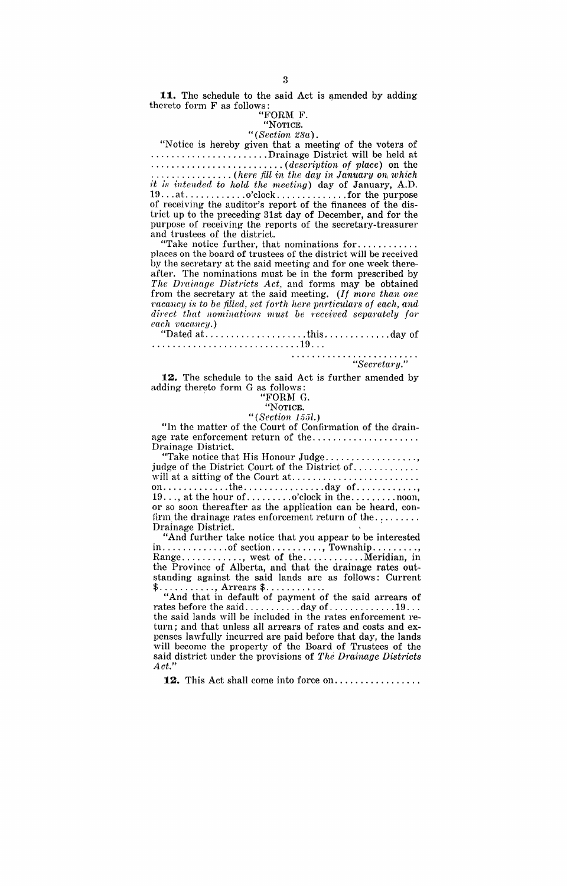11. The schedule to the said Act is amended by adding thereto form F as follows: '

#### "FORM F. "NOTICE.

*"(Section 28a).*<br>"Notice is hereby given that a meeting of the voters of ..........................Drainage District will be held at<br>..................................*(description of place*) on the · ......................... *(description of place)* on the · ............... *(here fill in the dcty in Janua1·y on, which it is intended to Iwld the meeting)* day of January, A.D.  $19...at$   $\dots$   $\ldots$   $\ldots$   $\ldots$   $\ldots$   $\ldots$   $\ldots$  for the purpose of receiving the auditor's report of the finances of the district up to the preceding 31st day of December, and for the purpose of receiving the reports of the secretary-treasurer and trustees of the district.

"Take notice further, that nominations for ........... . places on the board of trustees of the district will be received by the secretary at the said meeting and for one week thereafter. The nominations must be in the form prescribed by *The Drainage Districts Act,* and forms may be obtained from the secretary at the said meeting. *(If more than one racancy is to be filled, set forth here particulars of each, and direct that nominations must be Teceived separately for each vacnncy.)* 

"Dated at .................... this ............. day of ............................. 19 ...

*"Secretary."* 

**12.** The schedule to the said Act is further amended by adding thereto form G as follows: . "FORM G.

# "NOTICE.

## *"*(*Section 155l.*)

"In the matter of the Court of Confirmation of the drainage rate enforcement return of the .................... . Drainage District.

"Take notice that His Honour Judge.................., judge of the District Court of the District of ............ . will at a sitting of the Court at ........................ . on ............. the ................ day of ............ , 19 ... , at the hour of. ........ o'clock in the ......... noon, or so soon thereafter as the application can be heard, confirm the drainage rates enforcement return of the ........ . Drainage District. '

"And further take notice that you appear to be interested in ............. of section .......... , Township ......... , Range ............ , west of the ............ Meridian, in the Province of Alberta, and that the drainage rates outstanding against the said lands are as follows: Current

\$............, Arrears \$............<br>"And that in default of payment of the said arrears of rates before the said ........... day of ............. 19 .. . the said lands will be included in the rates enforcement return; and that unless all arrears of rates and costs and expenses lawfully incurred are paid before that day, the lands will become the property of the Board of Trustees of the said district under the provisions of *The Dminage Districts Act."* 

12. This Act shall come into force on.................